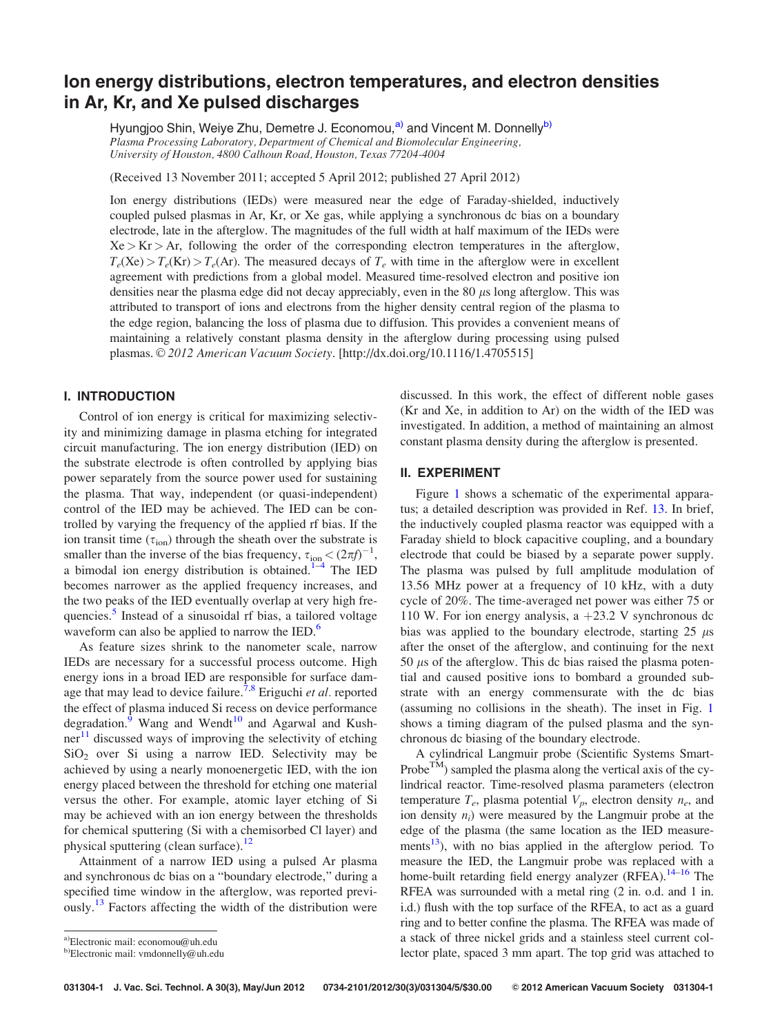# Ion energy distributions, electron temperatures, and electron densities in Ar, Kr, and Xe pulsed discharges

Hyungjoo Shin, Weiye Zhu, Demetre J. Economou,<sup>a)</sup> and Vincent M. Donnelly<sup>b)</sup> Plasma Processing Laboratory, Department of Chemical and Biomolecular Engineering, University of Houston, 4800 Calhoun Road, Houston, Texas 77204-4004

(Received 13 November 2011; accepted 5 April 2012; published 27 April 2012)

Ion energy distributions (IEDs) were measured near the edge of Faraday-shielded, inductively coupled pulsed plasmas in Ar, Kr, or Xe gas, while applying a synchronous dc bias on a boundary electrode, late in the afterglow. The magnitudes of the full width at half maximum of the IEDs were  $Xe > Kr > Ar$ , following the order of the corresponding electron temperatures in the afterglow,  $T_e$ (Xe) >  $T_e$ (Kr) >  $T_e$ (Ar). The measured decays of  $T_e$  with time in the afterglow were in excellent agreement with predictions from a global model. Measured time-resolved electron and positive ion densities near the plasma edge did not decay appreciably, even in the  $80 \mu s$  long afterglow. This was attributed to transport of ions and electrons from the higher density central region of the plasma to the edge region, balancing the loss of plasma due to diffusion. This provides a convenient means of maintaining a relatively constant plasma density in the afterglow during processing using pulsed plasmas. © 2012 American Vacuum Society. [http://dx.doi.org/10.1116/1.4705515]

# I. INTRODUCTION

Control of ion energy is critical for maximizing selectivity and minimizing damage in plasma etching for integrated circuit manufacturing. The ion energy distribution (IED) on the substrate electrode is often controlled by applying bias power separately from the source power used for sustaining the plasma. That way, independent (or quasi-independent) control of the IED may be achieved. The IED can be controlled by varying the frequency of the applied rf bias. If the ion transit time  $(\tau_{ion})$  through the sheath over the substrate is smaller than the inverse of the bias frequency,  $\tau_{\text{ion}} < (2\pi f)^{-1}$ , a bimodal ion energy distribution is obtained.<sup>[1](#page-4-0)–[4](#page-4-0)</sup> The IED becomes narrower as the applied frequency increases, and the two peaks of the IED eventually overlap at very high fre-quencies.<sup>[5](#page-4-0)</sup> Instead of a sinusoidal rf bias, a tailored voltage waveform can also be applied to narrow the IED.<sup>[6](#page-4-0)</sup>

As feature sizes shrink to the nanometer scale, narrow IEDs are necessary for a successful process outcome. High energy ions in a broad IED are responsible for surface dam-age that may lead to device failure.<sup>[7,8](#page-4-0)</sup> Eriguchi *et al.* reported the effect of plasma induced Si recess on device performance degradation. $^{6}$  Wang and Wendt<sup>[10](#page-4-0)</sup> and Agarwal and Kushner $11$  discussed ways of improving the selectivity of etching  $SiO<sub>2</sub>$  over Si using a narrow IED. Selectivity may be achieved by using a nearly monoenergetic IED, with the ion energy placed between the threshold for etching one material versus the other. For example, atomic layer etching of Si may be achieved with an ion energy between the thresholds for chemical sputtering (Si with a chemisorbed Cl layer) and physical sputtering (clean surface).<sup>[12](#page-4-0)</sup>

Attainment of a narrow IED using a pulsed Ar plasma and synchronous dc bias on a "boundary electrode," during a specified time window in the afterglow, was reported previ-ously.<sup>[13](#page-4-0)</sup> Factors affecting the width of the distribution were discussed. In this work, the effect of different noble gases (Kr and Xe, in addition to Ar) on the width of the IED was investigated. In addition, a method of maintaining an almost constant plasma density during the afterglow is presented.

## II. EXPERIMENT

Figure [1](#page-1-0) shows a schematic of the experimental apparatus; a detailed description was provided in Ref. [13](#page-4-0). In brief, the inductively coupled plasma reactor was equipped with a Faraday shield to block capacitive coupling, and a boundary electrode that could be biased by a separate power supply. The plasma was pulsed by full amplitude modulation of 13.56 MHz power at a frequency of 10 kHz, with a duty cycle of 20%. The time-averaged net power was either 75 or 110 W. For ion energy analysis, a  $+23.2$  V synchronous dc bias was applied to the boundary electrode, starting  $25 \mu s$ after the onset of the afterglow, and continuing for the next 50  $\mu$ s of the afterglow. This dc bias raised the plasma potential and caused positive ions to bombard a grounded substrate with an energy commensurate with the dc bias (assuming no collisions in the sheath). The inset in Fig. [1](#page-1-0) shows a timing diagram of the pulsed plasma and the synchronous dc biasing of the boundary electrode.

A cylindrical Langmuir probe (Scientific Systems Smart-Probe<sup>TM</sup>) sampled the plasma along the vertical axis of the cylindrical reactor. Time-resolved plasma parameters (electron temperature  $T_e$ , plasma potential  $V_p$ , electron density  $n_e$ , and ion density  $n_i$ ) were measured by the Langmuir probe at the edge of the plasma (the same location as the IED measurements<sup>13</sup>), with no bias applied in the afterglow period. To measure the IED, the Langmuir probe was replaced with a home-built retarding field energy analyzer (RFEA).<sup>[14–16](#page-4-0)</sup> The RFEA was surrounded with a metal ring (2 in. o.d. and 1 in. i.d.) flush with the top surface of the RFEA, to act as a guard ring and to better confine the plasma. The RFEA was made of a stack of three nickel grids and a stainless steel current collector plate, spaced 3 mm apart. The top grid was attached to

a)Electronic mail: economou@uh.edu

 $b)$ Electronic mail: vmdonnelly@uh.edu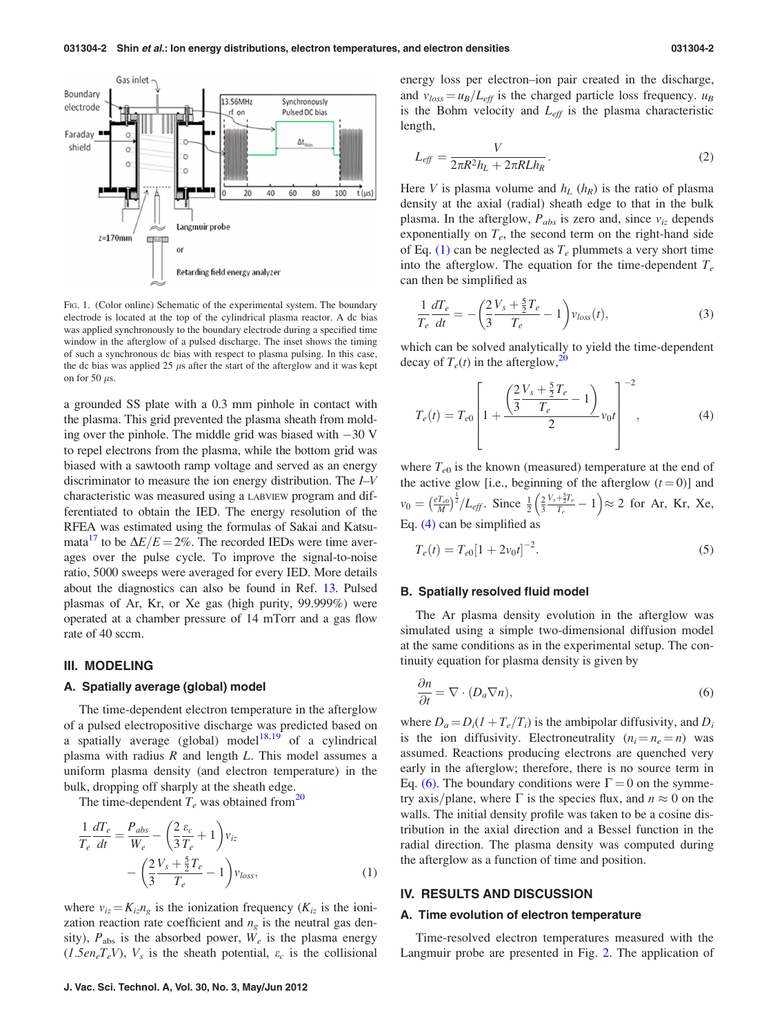<span id="page-1-0"></span>

FIG. 1. (Color online) Schematic of the experimental system. The boundary electrode is located at the top of the cylindrical plasma reactor. A dc bias was applied synchronously to the boundary electrode during a specified time window in the afterglow of a pulsed discharge. The inset shows the timing of such a synchronous dc bias with respect to plasma pulsing. In this case, the dc bias was applied 25  $\mu$ s after the start of the afterglow and it was kept on for 50  $\mu$ s.

a grounded SS plate with a 0.3 mm pinhole in contact with the plasma. This grid prevented the plasma sheath from molding over the pinhole. The middle grid was biased with  $-30$  V to repel electrons from the plasma, while the bottom grid was biased with a sawtooth ramp voltage and served as an energy discriminator to measure the ion energy distribution. The I–V characteristic was measured using a LABVIEW program and differentiated to obtain the IED. The energy resolution of the RFEA was estimated using the formulas of Sakai and Katsumata<sup>17</sup> to be  $\Delta E/E = 2\%$ . The recorded IEDs were time averages over the pulse cycle. To improve the signal-to-noise ratio, 5000 sweeps were averaged for every IED. More details about the diagnostics can also be found in Ref. [13.](#page-4-0) Pulsed plasmas of Ar, Kr, or Xe gas (high purity, 99.999%) were operated at a chamber pressure of 14 mTorr and a gas flow rate of 40 sccm.

## III. MODELING

## A. Spatially average (global) model

The time-dependent electron temperature in the afterglow of a pulsed electropositive discharge was predicted based on a spatially average (global) model<sup>[18,19](#page-4-0)</sup> of a cylindrical plasma with radius  $R$  and length  $L$ . This model assumes a uniform plasma density (and electron temperature) in the bulk, dropping off sharply at the sheath edge.

The time-dependent  $T_e$  was obtained from<sup>[20](#page-4-0)</sup>

$$
\frac{1}{T_e} \frac{dT_e}{dt} = \frac{P_{abs}}{W_e} - \left(\frac{2}{3} \frac{\varepsilon_c}{T_e} + 1\right) v_{iz}
$$

$$
- \left(\frac{2}{3} \frac{V_s + \frac{5}{2} T_e}{T_e} - 1\right) v_{loss},\tag{1}
$$

where  $v_{iz} = K_{iz}n_{\varrho}$  is the ionization frequency ( $K_{iz}$  is the ionization reaction rate coefficient and  $n<sub>g</sub>$  is the neutral gas density),  $P_{\text{abs}}$  is the absorbed power,  $W_e$  is the plasma energy  $(1.5en_eT_eV)$ ,  $V_s$  is the sheath potential,  $\varepsilon_c$  is the collisional

energy loss per electron–ion pair created in the discharge, and  $v_{loss} = u_B/L_{\text{eff}}$  is the charged particle loss frequency.  $u_B$ is the Bohm velocity and  $L_{\text{eff}}$  is the plasma characteristic length,

$$
L_{\text{eff}} = \frac{V}{2\pi R^2 h_L + 2\pi R L h_R}.
$$
\n<sup>(2)</sup>

Here V is plasma volume and  $h_L$  ( $h_R$ ) is the ratio of plasma density at the axial (radial) sheath edge to that in the bulk plasma. In the afterglow,  $P_{abs}$  is zero and, since  $v_{iz}$  depends exponentially on  $T_e$ , the second term on the right-hand side of Eq. (1) can be neglected as  $T_e$  plummets a very short time into the afterglow. The equation for the time-dependent  $T_e$ can then be simplified as

$$
\frac{1}{T_e}\frac{dT_e}{dt} = -\left(\frac{2V_s + \frac{5}{2}T_e}{T_e} - 1\right)v_{loss}(t),\tag{3}
$$

which can be solved analytically to yield the time-dependent decay of  $T_e(t)$  in the afterglow,<sup>20</sup>

$$
T_e(t) = T_{e0} \left[ 1 + \frac{\left(\frac{2V_s + \frac{5}{2}T_e}{T_e} - 1\right)}{2} v_0 t \right]^{-2}, \tag{4}
$$

where  $T_{e0}$  is the known (measured) temperature at the end of the active glow [i.e., beginning of the afterglow  $(t = 0)$ ] and  $v_0 = \left(\frac{e T_{e0}}{M}\right)$  $\left(\frac{e T_{e0}}{M}\right)^{\frac{1}{2}}/L_{eff}$ . Since  $\frac{1}{2}\left(\frac{2}{3}\right)$  $\left(\frac{2}{3}\frac{V_s+\frac{5}{2}T_e}{T_e}-1\right) \approx 2$  for Ar, Kr, Xe, Eq. (4) can be simplified as

$$
T_e(t) = T_{e0} [1 + 2v_0 t]^{-2}.
$$
\n(5)

### B. Spatially resolved fluid model

The Ar plasma density evolution in the afterglow was simulated using a simple two-dimensional diffusion model at the same conditions as in the experimental setup. The continuity equation for plasma density is given by

$$
\frac{\partial n}{\partial t} = \nabla \cdot (D_a \nabla n),\tag{6}
$$

where  $D_a = D_i(1 + T_e/T_i)$  is the ambipolar diffusivity, and  $D_i$ is the ion diffusivity. Electroneutrality  $(n_i = n_e = n)$  was assumed. Reactions producing electrons are quenched very early in the afterglow; therefore, there is no source term in Eq. (6). The boundary conditions were  $\Gamma = 0$  on the symmetry axis/plane, where  $\Gamma$  is the species flux, and  $n \approx 0$  on the walls. The initial density profile was taken to be a cosine distribution in the axial direction and a Bessel function in the radial direction. The plasma density was computed during the afterglow as a function of time and position.

## IV. RESULTS AND DISCUSSION

#### A. Time evolution of electron temperature

Time-resolved electron temperatures measured with the Langmuir probe are presented in Fig. [2.](#page-2-0) The application of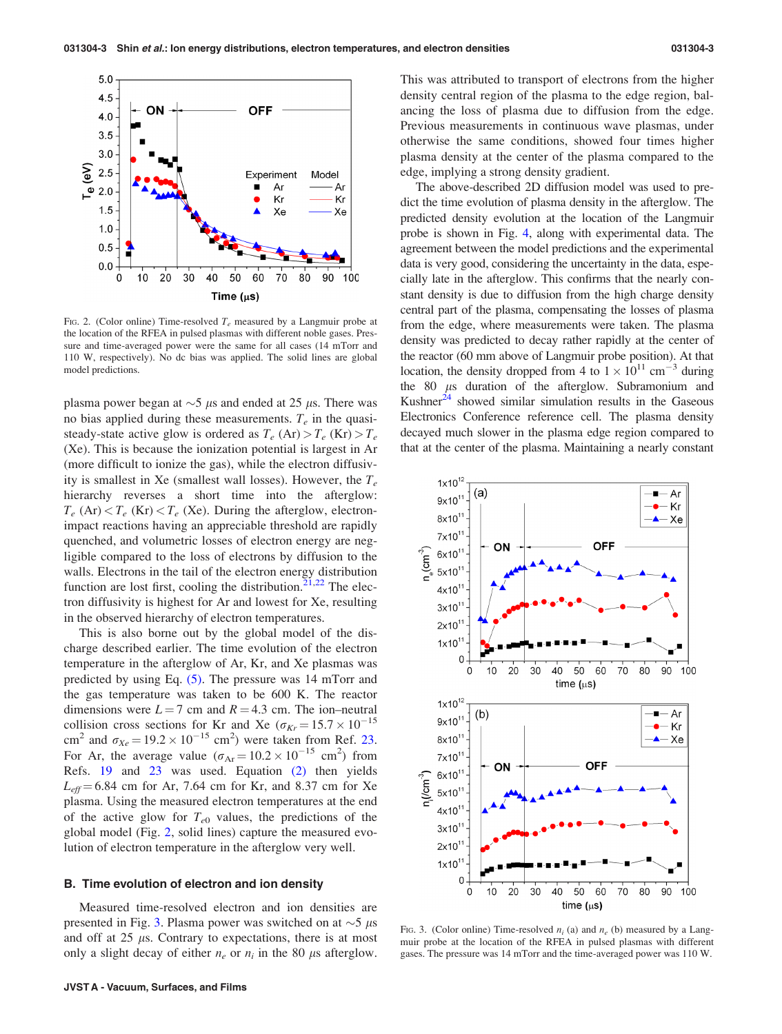<span id="page-2-0"></span>

FIG. 2. (Color online) Time-resolved  $T_e$  measured by a Langmuir probe at the location of the RFEA in pulsed plasmas with different noble gases. Pressure and time-averaged power were the same for all cases (14 mTorr and 110 W, respectively). No dc bias was applied. The solid lines are global model predictions.

plasma power began at  $\sim$ 5  $\mu$ s and ended at 25  $\mu$ s. There was no bias applied during these measurements.  $T_e$  in the quasisteady-state active glow is ordered as  $T_e$  (Ar) >  $T_e$  (Kr) >  $T_e$ (Xe). This is because the ionization potential is largest in Ar (more difficult to ionize the gas), while the electron diffusivity is smallest in Xe (smallest wall losses). However, the  $T_e$ hierarchy reverses a short time into the afterglow:  $T_e$  (Ar)  $T_e$  (Kr)  $T_e$  (Xe). During the afterglow, electronimpact reactions having an appreciable threshold are rapidly quenched, and volumetric losses of electron energy are negligible compared to the loss of electrons by diffusion to the walls. Electrons in the tail of the electron energy distribution function are lost first, cooling the distribution.<sup>[21,22](#page-4-0)</sup> The electron diffusivity is highest for Ar and lowest for Xe, resulting in the observed hierarchy of electron temperatures.

This is also borne out by the global model of the discharge described earlier. The time evolution of the electron temperature in the afterglow of Ar, Kr, and Xe plasmas was predicted by using Eq. [\(5\)](#page-1-0). The pressure was 14 mTorr and the gas temperature was taken to be 600 K. The reactor dimensions were  $L = 7$  cm and  $R = 4.3$  cm. The ion–neutral collision cross sections for Kr and Xe ( $\sigma_{Kr} = 15.7 \times 10^{-15}$ ) cm<sup>2</sup> and  $\sigma_{Xe} = 19.2 \times 10^{-15}$  cm<sup>2</sup>) were taken from Ref. [23.](#page-4-0) For Ar, the average value  $(\sigma_{Ar} = 10.2 \times 10^{-15} \text{ cm}^2)$  from Refs. [19](#page-4-0) and [23](#page-4-0) was used. Equation [\(2\)](#page-1-0) then yields  $L_{\text{eff}}$  = 6.84 cm for Ar, 7.64 cm for Kr, and 8.37 cm for Xe plasma. Using the measured electron temperatures at the end of the active glow for  $T_{e0}$  values, the predictions of the global model (Fig. 2, solid lines) capture the measured evolution of electron temperature in the afterglow very well.

## B. Time evolution of electron and ion density

Measured time-resolved electron and ion densities are presented in Fig. 3. Plasma power was switched on at  $\sim$  5  $\mu$ s and off at  $25 \mu s$ . Contrary to expectations, there is at most only a slight decay of either  $n_e$  or  $n_i$  in the 80  $\mu$ s afterglow. This was attributed to transport of electrons from the higher density central region of the plasma to the edge region, balancing the loss of plasma due to diffusion from the edge. Previous measurements in continuous wave plasmas, under otherwise the same conditions, showed four times higher plasma density at the center of the plasma compared to the edge, implying a strong density gradient.

The above-described 2D diffusion model was used to predict the time evolution of plasma density in the afterglow. The predicted density evolution at the location of the Langmuir probe is shown in Fig. [4](#page-3-0), along with experimental data. The agreement between the model predictions and the experimental data is very good, considering the uncertainty in the data, especially late in the afterglow. This confirms that the nearly constant density is due to diffusion from the high charge density central part of the plasma, compensating the losses of plasma from the edge, where measurements were taken. The plasma density was predicted to decay rather rapidly at the center of the reactor (60 mm above of Langmuir probe position). At that location, the density dropped from 4 to  $1 \times 10^{11}$  cm<sup>-3</sup> during the  $80 \mu s$  duration of the afterglow. Subramonium and Kushner $^{24}$  showed similar simulation results in the Gaseous Electronics Conference reference cell. The plasma density decayed much slower in the plasma edge region compared to that at the center of the plasma. Maintaining a nearly constant



FIG. 3. (Color online) Time-resolved  $n_i$  (a) and  $n_e$  (b) measured by a Langmuir probe at the location of the RFEA in pulsed plasmas with different gases. The pressure was 14 mTorr and the time-averaged power was 110 W.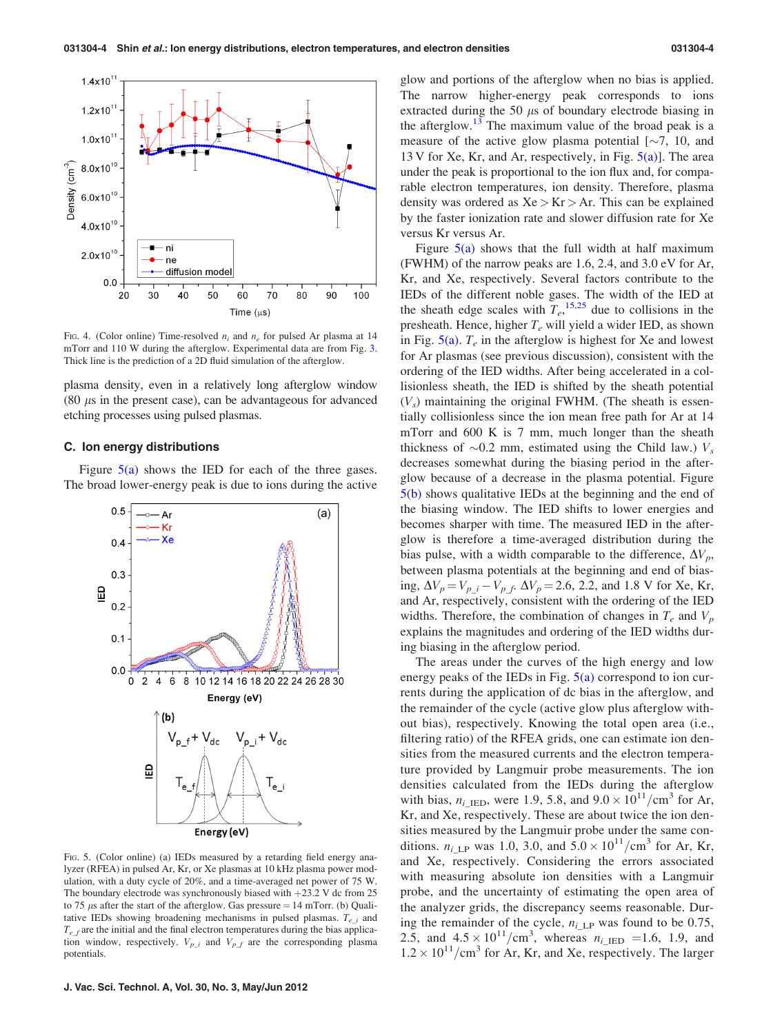<span id="page-3-0"></span>

FIG. 4. (Color online) Time-resolved  $n_i$  and  $n_e$  for pulsed Ar plasma at 14 mTorr and 110 W during the afterglow. Experimental data are from Fig. [3](#page-2-0). Thick line is the prediction of a 2D fluid simulation of the afterglow.

plasma density, even in a relatively long afterglow window  $(80 \mu s)$  in the present case), can be advantageous for advanced etching processes using pulsed plasmas.

## C. Ion energy distributions

Figure  $5(a)$  shows the IED for each of the three gases. The broad lower-energy peak is due to ions during the active



FIG. 5. (Color online) (a) IEDs measured by a retarding field energy analyzer (RFEA) in pulsed Ar, Kr, or Xe plasmas at 10 kHz plasma power modulation, with a duty cycle of 20%, and a time-averaged net power of 75 W. The boundary electrode was synchronously biased with  $+23.2$  V dc from 25 to 75  $\mu$ s after the start of the afterglow. Gas pressure = 14 mTorr. (b) Qualitative IEDs showing broadening mechanisms in pulsed plasmas.  $T_{e,i}$  and  $T_{eff}$  are the initial and the final electron temperatures during the bias application window, respectively.  $V_{p\_i}$  and  $V_{p\_f}$  are the corresponding plasma potentials.

glow and portions of the afterglow when no bias is applied. The narrow higher-energy peak corresponds to ions extracted during the 50  $\mu$ s of boundary electrode biasing in the afterglow.<sup>[13](#page-4-0)</sup> The maximum value of the broad peak is a measure of the active glow plasma potential  $[\sim]7$ , 10, and 13 V for Xe, Kr, and Ar, respectively, in Fig.  $5(a)$ ]. The area under the peak is proportional to the ion flux and, for comparable electron temperatures, ion density. Therefore, plasma density was ordered as  $Xe > Kr > Ar$ . This can be explained by the faster ionization rate and slower diffusion rate for Xe versus Kr versus Ar.

Figure  $5(a)$  shows that the full width at half maximum (FWHM) of the narrow peaks are 1.6, 2.4, and 3.0 eV for Ar, Kr, and Xe, respectively. Several factors contribute to the IEDs of the different noble gases. The width of the IED at the sheath edge scales with  $T_e$ ,<sup>[15,25](#page-4-0)</sup> due to collisions in the presheath. Hence, higher  $T_e$  will yield a wider IED, as shown in Fig.  $5(a)$ .  $T_e$  in the afterglow is highest for Xe and lowest for Ar plasmas (see previous discussion), consistent with the ordering of the IED widths. After being accelerated in a collisionless sheath, the IED is shifted by the sheath potential  $(V<sub>s</sub>)$  maintaining the original FWHM. (The sheath is essentially collisionless since the ion mean free path for Ar at 14 mTorr and 600 K is 7 mm, much longer than the sheath thickness of  $\sim 0.2$  mm, estimated using the Child law.)  $V_s$ decreases somewhat during the biasing period in the afterglow because of a decrease in the plasma potential. Figure 5(b) shows qualitative IEDs at the beginning and the end of the biasing window. The IED shifts to lower energies and becomes sharper with time. The measured IED in the afterglow is therefore a time-averaged distribution during the bias pulse, with a width comparable to the difference,  $\Delta V_p$ , between plasma potentials at the beginning and end of biasing,  $\Delta V_p = V_{p_i} - V_{p_i}$ .  $\Delta V_p = 2.6$ , 2.2, and 1.8 V for Xe, Kr, and Ar, respectively, consistent with the ordering of the IED widths. Therefore, the combination of changes in  $T_e$  and  $V_p$ explains the magnitudes and ordering of the IED widths during biasing in the afterglow period.

The areas under the curves of the high energy and low energy peaks of the IEDs in Fig.  $5(a)$  correspond to ion currents during the application of dc bias in the afterglow, and the remainder of the cycle (active glow plus afterglow without bias), respectively. Knowing the total open area (i.e., filtering ratio) of the RFEA grids, one can estimate ion densities from the measured currents and the electron temperature provided by Langmuir probe measurements. The ion densities calculated from the IEDs during the afterglow with bias,  $n_{i\text{_-IED}}$ , were 1.9, 5.8, and  $9.0 \times 10^{11} / \text{cm}^3$  for Ar, Kr, and Xe, respectively. These are about twice the ion densities measured by the Langmuir probe under the same conditions.  $n_{i\text{LP}}$  was 1.0, 3.0, and  $5.0 \times 10^{11} / \text{cm}^3$  for Ar, Kr, and Xe, respectively. Considering the errors associated with measuring absolute ion densities with a Langmuir probe, and the uncertainty of estimating the open area of the analyzer grids, the discrepancy seems reasonable. During the remainder of the cycle,  $n_i$  LP was found to be 0.75, 2.5, and  $4.5 \times 10^{11}/\text{cm}^3$ , whereas  $n_{i\text{ }I\text{ }E\text{D}} = 1.6$ , 1.9, and  $1.2 \times 10^{11}$ /cm<sup>3</sup> for Ar, Kr, and Xe, respectively. The larger